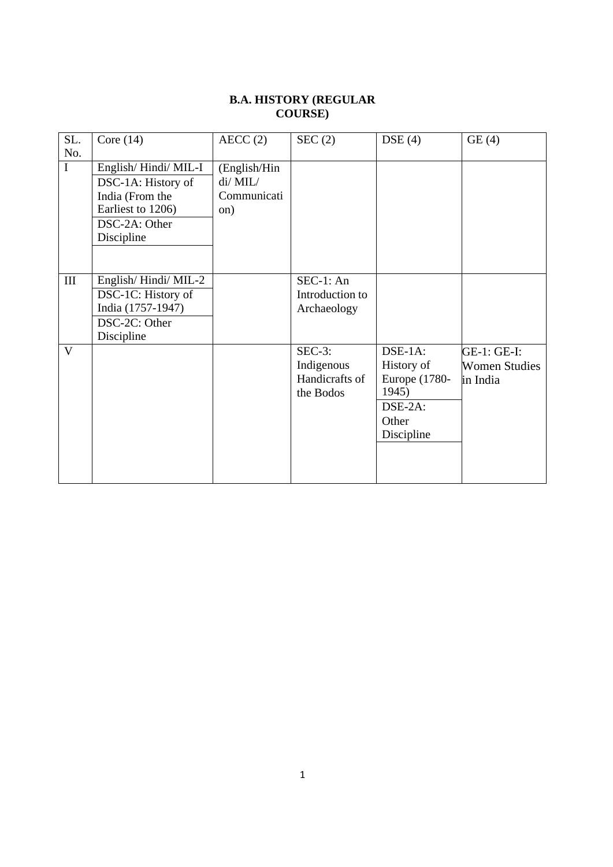#### **B.A. HISTORY (REGULAR COURSE)**

| SL.         | Core $(14)$         | AECC(2)      | SEC(2)          | DSE(4)        | GE(4)                |
|-------------|---------------------|--------------|-----------------|---------------|----------------------|
| No.         |                     |              |                 |               |                      |
| $\mathbf I$ | English/Hindi/MIL-I | (English/Hin |                 |               |                      |
|             | DSC-1A: History of  | $di/$ MIL/   |                 |               |                      |
|             | India (From the     | Communicati  |                 |               |                      |
|             | Earliest to 1206)   | on)          |                 |               |                      |
|             | DSC-2A: Other       |              |                 |               |                      |
|             | Discipline          |              |                 |               |                      |
|             |                     |              |                 |               |                      |
|             |                     |              |                 |               |                      |
| $\rm III$   | English/Hindi/MIL-2 |              | $SEC-1: An$     |               |                      |
|             | DSC-1C: History of  |              | Introduction to |               |                      |
|             | India (1757-1947)   |              | Archaeology     |               |                      |
|             | DSC-2C: Other       |              |                 |               |                      |
|             | Discipline          |              |                 |               |                      |
| V           |                     |              | $SEC-3:$        | DSE-1A:       | GE-1: GE-I:          |
|             |                     |              | Indigenous      | History of    | <b>Women Studies</b> |
|             |                     |              | Handicrafts of  | Europe (1780- | in India             |
|             |                     |              | the Bodos       | 1945)         |                      |
|             |                     |              |                 | DSE-2A:       |                      |
|             |                     |              |                 | Other         |                      |
|             |                     |              |                 | Discipline    |                      |
|             |                     |              |                 |               |                      |
|             |                     |              |                 |               |                      |
|             |                     |              |                 |               |                      |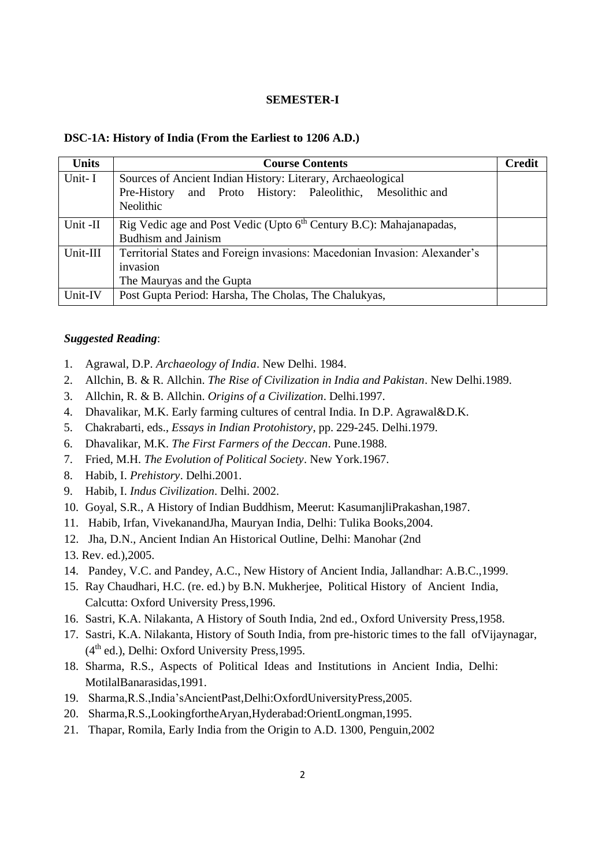#### **SEMESTER-I**

#### **DSC-1A: History of India (From the Earliest to 1206 A.D.)**

| <b>Units</b> | <b>Course Contents</b>                                                          | <b>Credit</b> |
|--------------|---------------------------------------------------------------------------------|---------------|
| Unit-I       | Sources of Ancient Indian History: Literary, Archaeological                     |               |
|              | Pre-History and Proto History: Paleolithic, Mesolithic and                      |               |
|              | Neolithic                                                                       |               |
| Unit -II     | Rig Vedic age and Post Vedic (Upto 6 <sup>th</sup> Century B.C): Mahajanapadas, |               |
|              | <b>Budhism and Jainism</b>                                                      |               |
| Unit-III     | Territorial States and Foreign invasions: Macedonian Invasion: Alexander's      |               |
|              | invasion                                                                        |               |
|              | The Mauryas and the Gupta                                                       |               |
| Unit-IV      | Post Gupta Period: Harsha, The Cholas, The Chalukyas,                           |               |

#### *Suggested Reading*:

- 1. Agrawal, D.P. *Archaeology of India*. New Delhi. 1984.
- 2. Allchin, B. & R. Allchin. *The Rise of Civilization in India and Pakistan*. New Delhi.1989.
- 3. Allchin, R. & B. Allchin. *Origins of a Civilization*. Delhi.1997.
- 4. Dhavalikar, M.K. Early farming cultures of central India. In D.P. Agrawal&D.K.
- 5. Chakrabarti, eds., *Essays in Indian Protohistory*, pp. 229-245. Delhi.1979.
- 6. Dhavalikar, M.K. *The First Farmers of the Deccan*. Pune.1988.
- 7. Fried, M.H. *The Evolution of Political Society*. New York.1967.
- 8. Habib, I. *Prehistory*. Delhi.2001.
- 9. Habib, I. *Indus Civilization*. Delhi. 2002.
- 10. Goyal, S.R., A History of Indian Buddhism, Meerut: KasumanjliPrakashan,1987.
- 11. Habib, Irfan, VivekanandJha, Mauryan India, Delhi: Tulika Books,2004.
- 12. Jha, D.N., Ancient Indian An Historical Outline, Delhi: Manohar (2nd
- 13. Rev. ed.),2005.
- 14. Pandey, V.C. and Pandey, A.C., New History of Ancient India, Jallandhar: A.B.C.,1999.
- 15. Ray Chaudhari, H.C. (re. ed.) by B.N. Mukherjee, Political History of Ancient India, Calcutta: Oxford University Press,1996.
- 16. Sastri, K.A. Nilakanta, A History of South India, 2nd ed., Oxford University Press,1958.
- 17. Sastri, K.A. Nilakanta, History of South India, from pre-historic times to the fall ofVijaynagar, (4th ed.), Delhi: Oxford University Press,1995.
- 18. Sharma, R.S., Aspects of Political Ideas and Institutions in Ancient India, Delhi: MotilalBanarasidas,1991.
- 19. Sharma,R.S.,India'sAncientPast,Delhi:OxfordUniversityPress,2005.
- 20. Sharma,R.S.,LookingfortheAryan,Hyderabad:OrientLongman,1995.
- 21. Thapar, Romila, Early India from the Origin to A.D. 1300, Penguin,2002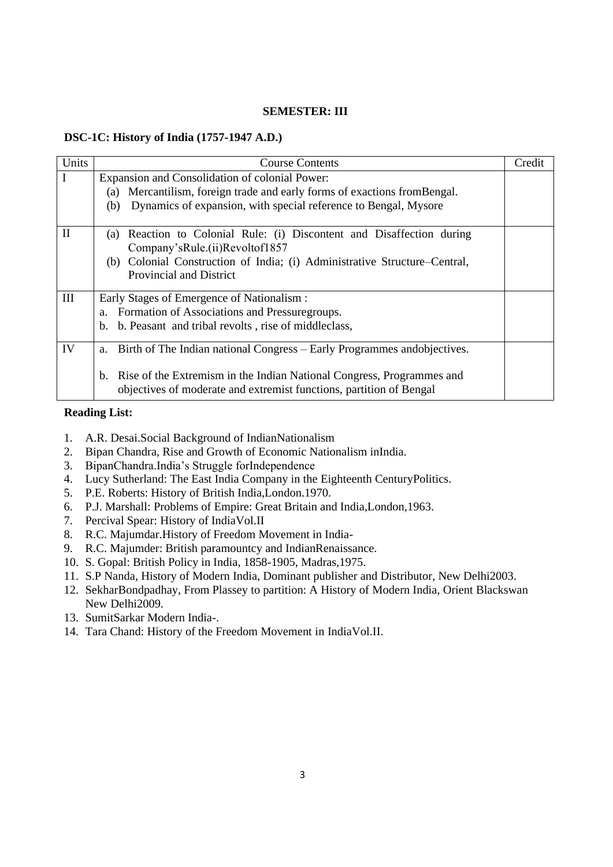#### **SEMESTER: III**

#### **DSC-1C: History of India (1757-1947 A.D.)**

| Units | <b>Course Contents</b>                                                                                                                                  | Credit |
|-------|---------------------------------------------------------------------------------------------------------------------------------------------------------|--------|
|       | Expansion and Consolidation of colonial Power:                                                                                                          |        |
|       | Mercantilism, foreign trade and early forms of exactions from Bengal.<br>(a)                                                                            |        |
|       | Dynamics of expansion, with special reference to Bengal, Mysore<br>(b)                                                                                  |        |
|       |                                                                                                                                                         |        |
| П     | Reaction to Colonial Rule: (i) Discontent and Disaffection during<br>(a)                                                                                |        |
|       | Company'sRule.(ii)Revoltof1857                                                                                                                          |        |
|       | Colonial Construction of India; (i) Administrative Structure-Central,<br>(b)                                                                            |        |
|       | <b>Provincial and District</b>                                                                                                                          |        |
|       |                                                                                                                                                         |        |
| Ш     | Early Stages of Emergence of Nationalism :                                                                                                              |        |
|       | a. Formation of Associations and Pressuregroups.                                                                                                        |        |
|       | b. b. Peasant and tribal revolts, rise of middleclass,                                                                                                  |        |
| IV    | Birth of The Indian national Congress – Early Programmes and objectives.<br>a.                                                                          |        |
|       | Rise of the Extremism in the Indian National Congress, Programmes and<br>$b_{1}$<br>objectives of moderate and extremist functions, partition of Bengal |        |

### **Reading List:**

- 1. A.R. Desai.Social Background of IndianNationalism
- 2. Bipan Chandra, Rise and Growth of Economic Nationalism inIndia.
- 3. BipanChandra.India's Struggle forIndependence
- 4. Lucy Sutherland: The East India Company in the Eighteenth CenturyPolitics.
- 5. P.E. Roberts: History of British India,London.1970.
- 6. P.J. Marshall: Problems of Empire: Great Britain and India,London,1963.
- 7. Percival Spear: History of IndiaVol.II
- 8. R.C. Majumdar.History of Freedom Movement in India-
- 9. R.C. Majumder: British paramountcy and IndianRenaissance.
- 10. S. Gopal: British Policy in India, 1858-1905, Madras,1975.
- 11. S.P Nanda, History of Modern India, Dominant publisher and Distributor, New Delhi2003.
- 12. SekharBondpadhay, From Plassey to partition: A History of Modern India, Orient Blackswan New Delhi2009.
- 13. SumitSarkar Modern India-.
- 14. Tara Chand: History of the Freedom Movement in IndiaVol.II.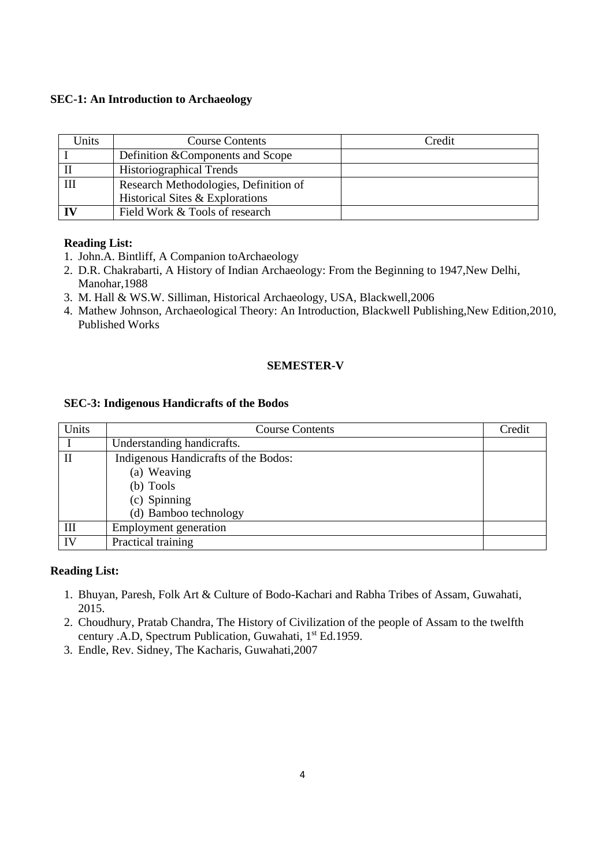## **SEC-1: An Introduction to Archaeology**

| Units | <b>Course Contents</b>                | Credit |
|-------|---------------------------------------|--------|
|       | Definition & Components and Scope     |        |
|       | <b>Historiographical Trends</b>       |        |
| III   | Research Methodologies, Definition of |        |
|       | Historical Sites & Explorations       |        |
|       | Field Work & Tools of research        |        |

### **Reading List:**

- 1. John.A. Bintliff, A Companion toArchaeology
- 2. D.R. Chakrabarti, A History of Indian Archaeology: From the Beginning to 1947,New Delhi, Manohar,1988
- 3. M. Hall & WS.W. Silliman, Historical Archaeology, USA, Blackwell,2006
- 4. Mathew Johnson, Archaeological Theory: An Introduction, Blackwell Publishing,New Edition,2010, Published Works

## **SEMESTER-V**

### **SEC-3: Indigenous Handicrafts of the Bodos**

| Units | <b>Course Contents</b>               | Credit |
|-------|--------------------------------------|--------|
|       | Understanding handicrafts.           |        |
|       | Indigenous Handicrafts of the Bodos: |        |
|       | (a) Weaving                          |        |
|       | (b) Tools                            |        |
|       | (c) Spinning                         |        |
|       | (d) Bamboo technology                |        |
| Ш     | Employment generation                |        |
| IV    | Practical training                   |        |

# **Reading List:**

- 1. Bhuyan, Paresh, Folk Art & Culture of Bodo-Kachari and Rabha Tribes of Assam, Guwahati, 2015.
- 2. Choudhury, Pratab Chandra, The History of Civilization of the people of Assam to the twelfth century .A.D, Spectrum Publication, Guwahati, 1<sup>st</sup> Ed.1959.
- 3. Endle, Rev. Sidney, The Kacharis, Guwahati,2007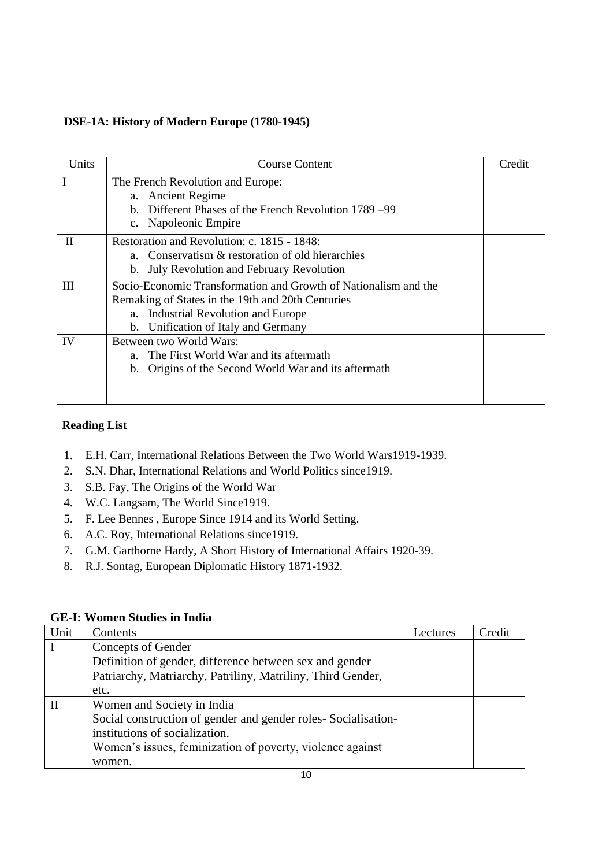## **DSE-1A: History of Modern Europe (1780-1945)**

| Units        | <b>Course Content</b>                                           | Credit |  |
|--------------|-----------------------------------------------------------------|--------|--|
|              | The French Revolution and Europe:                               |        |  |
|              | a. Ancient Regime                                               |        |  |
|              | Different Phases of the French Revolution 1789 –99<br>h.        |        |  |
|              | c. Napoleonic Empire                                            |        |  |
| $\mathbf{H}$ | Restoration and Revolution: c. 1815 - 1848:                     |        |  |
|              | a. Conservatism & restoration of old hierarchies                |        |  |
|              | b. July Revolution and February Revolution                      |        |  |
| Ш            | Socio-Economic Transformation and Growth of Nationalism and the |        |  |
|              | Remaking of States in the 19th and 20th Centuries               |        |  |
|              | a. Industrial Revolution and Europe                             |        |  |
|              | b. Unification of Italy and Germany                             |        |  |
| IV           | Between two World Wars:                                         |        |  |
|              | a. The First World War and its aftermath                        |        |  |
|              | b. Origins of the Second World War and its aftermath            |        |  |
|              |                                                                 |        |  |
|              |                                                                 |        |  |

## **Reading List**

- 1. E.H. Carr, International Relations Between the Two World Wars1919-1939.
- 2. S.N. Dhar, International Relations and World Politics since1919.
- 3. S.B. Fay, The Origins of the World War
- 4. W.C. Langsam, The World Since1919.
- 5. F. Lee Bennes , Europe Since 1914 and its World Setting.
- 6. A.C. Roy, International Relations since1919.
- 7. G.M. Garthorne Hardy, A Short History of International Affairs 1920-39.
- 8. R.J. Sontag, European Diplomatic History 1871-1932.

# **GE-I: Women Studies in India**

| Unit | Contents                                                      | Lectures | Credit |
|------|---------------------------------------------------------------|----------|--------|
|      | Concepts of Gender                                            |          |        |
|      | Definition of gender, difference between sex and gender       |          |        |
|      | Patriarchy, Matriarchy, Patriliny, Matriliny, Third Gender,   |          |        |
|      | etc.                                                          |          |        |
|      | Women and Society in India                                    |          |        |
|      | Social construction of gender and gender roles-Socialisation- |          |        |
|      | institutions of socialization.                                |          |        |
|      | Women's issues, feminization of poverty, violence against     |          |        |
|      | women.                                                        |          |        |